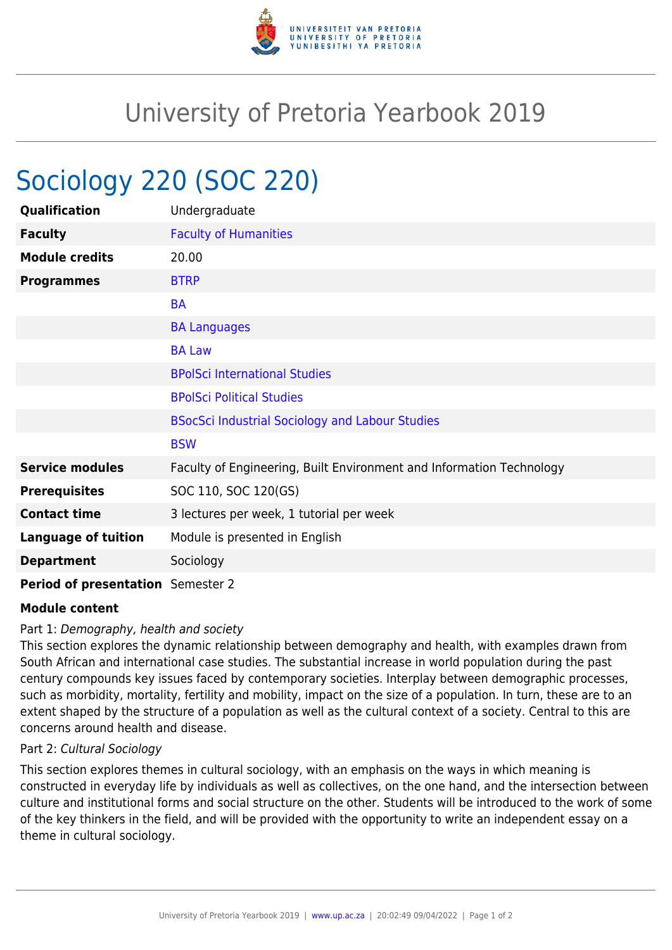

# University of Pretoria Yearbook 2019

# Sociology 220 (SOC 220)

| Qualification                     | Undergraduate                                                        |
|-----------------------------------|----------------------------------------------------------------------|
| <b>Faculty</b>                    | <b>Faculty of Humanities</b>                                         |
| <b>Module credits</b>             | 20.00                                                                |
| <b>Programmes</b>                 | <b>BTRP</b>                                                          |
|                                   | <b>BA</b>                                                            |
|                                   | <b>BA Languages</b>                                                  |
|                                   | <b>BA Law</b>                                                        |
|                                   | <b>BPolSci International Studies</b>                                 |
|                                   | <b>BPolSci Political Studies</b>                                     |
|                                   | <b>BSocSci Industrial Sociology and Labour Studies</b>               |
|                                   | <b>BSW</b>                                                           |
| <b>Service modules</b>            | Faculty of Engineering, Built Environment and Information Technology |
| <b>Prerequisites</b>              | SOC 110, SOC 120(GS)                                                 |
| <b>Contact time</b>               | 3 lectures per week, 1 tutorial per week                             |
| <b>Language of tuition</b>        | Module is presented in English                                       |
| <b>Department</b>                 | Sociology                                                            |
| Period of presentation Semester 2 |                                                                      |

## **Module content**

### Part 1: Demography, health and society

This section explores the dynamic relationship between demography and health, with examples drawn from South African and international case studies. The substantial increase in world population during the past century compounds key issues faced by contemporary societies. Interplay between demographic processes, such as morbidity, mortality, fertility and mobility, impact on the size of a population. In turn, these are to an extent shaped by the structure of a population as well as the cultural context of a society. Central to this are concerns around health and disease.

### Part 2: Cultural Sociology

This section explores themes in cultural sociology, with an emphasis on the ways in which meaning is constructed in everyday life by individuals as well as collectives, on the one hand, and the intersection between culture and institutional forms and social structure on the other. Students will be introduced to the work of some of the key thinkers in the field, and will be provided with the opportunity to write an independent essay on a theme in cultural sociology.